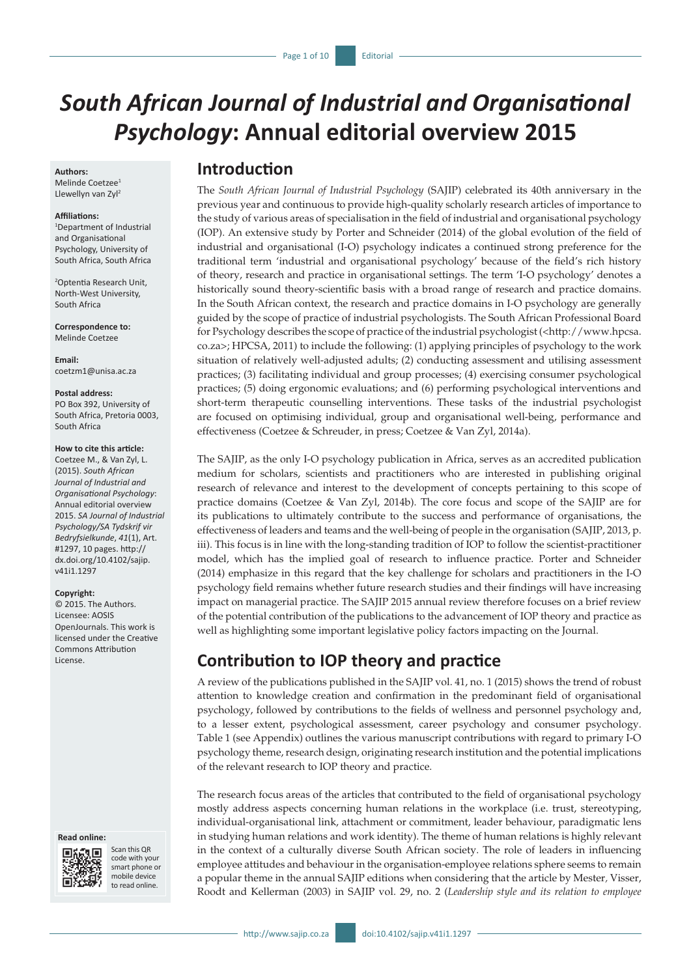# *South African Journal of Industrial and Organisational Psychology***: Annual editorial overview 2015**

**Authors:** Melinde Coetzee<sup>1</sup> Llewellyn van Zyl2

#### **Affiliations:**

1 Department of Industrial and Organisational Psychology, University of South Africa, South Africa

2 Optentia Research Unit, North-West University, South Africa

**Correspondence to:** Melinde Coetzee

**Email:** [coetzm1@unisa.ac.za](mailto:coetzm1@unisa.ac.za)

#### **Postal address:**

PO Box 392, University of South Africa, Pretoria 0003, South Africa

### **How to cite this article:**

Coetzee M., & Van Zyl, L. (2015). *South African Journal of Industrial and Organisational Psychology*: Annual editorial overview 2015. *SA Journal of Industrial Psychology/SA Tydskrif vir Bedryfsielkunde*, *41*(1), Art. #1297, 10 pages. [http://](http://dx.doi.org/10.4102/sajip.v41i1.1297) [dx.doi.org/10.4102/sajip.](http://dx.doi.org/10.4102/sajip.v41i1.1297) [v41i1.1297](http://dx.doi.org/10.4102/sajip.v41i1.1297)

#### **Copyright:**

© 2015. The Authors. Licensee: AOSIS OpenJournals. This work is licensed under the Creative Commons Attribution License.

#### **Read online:**



Scan this QR code with your smart phone or mobile device to read online.

## **Introduction**

The *South African Journal of Industrial Psychology* (SAJIP) celebrated its 40th anniversary in the previous year and continuous to provide high-quality scholarly research articles of importance to the study of various areas of specialisation in the field of industrial and organisational psychology (IOP). An extensive study by Porter and Schneider (2014) of the global evolution of the field of industrial and organisational (I-O) psychology indicates a continued strong preference for the traditional term 'industrial and organisational psychology' because of the field's rich history of theory, research and practice in organisational settings. The term 'I-O psychology' denotes a historically sound theory-scientific basis with a broad range of research and practice domains. In the South African context, the research and practice domains in I-O psychology are generally guided by the scope of practice of industrial psychologists. The South African Professional Board for Psychology describes the scope of practice of the industrial psychologist ([<http://www.hpcsa.](http://www.hpcsa.co.za) [co.za](http://www.hpcsa.co.za)>; HPCSA, 2011) to include the following: (1) applying principles of psychology to the work situation of relatively well-adjusted adults; (2) conducting assessment and utilising assessment practices; (3) facilitating individual and group processes; (4) exercising consumer psychological practices; (5) doing ergonomic evaluations; and (6) performing psychological interventions and short-term therapeutic counselling interventions. These tasks of the industrial psychologist are focused on optimising individual, group and organisational well-being, performance and effectiveness (Coetzee & Schreuder, in press; Coetzee & Van Zyl, 2014a).

The SAJIP, as the only I-O psychology publication in Africa, serves as an accredited publication medium for scholars, scientists and practitioners who are interested in publishing original research of relevance and interest to the development of concepts pertaining to this scope of practice domains (Coetzee & Van Zyl, 2014b). The core focus and scope of the SAJIP are for its publications to ultimately contribute to the success and performance of organisations, the effectiveness of leaders and teams and the well-being of people in the organisation (SAJIP, 2013, p. iii). This focus is in line with the long-standing tradition of IOP to follow the scientist-practitioner model, which has the implied goal of research to influence practice. Porter and Schneider (2014) emphasize in this regard that the key challenge for scholars and practitioners in the I-O psychology field remains whether future research studies and their findings will have increasing impact on managerial practice. The SAJIP 2015 annual review therefore focuses on a brief review of the potential contribution of the publications to the advancement of IOP theory and practice as well as highlighting some important legislative policy factors impacting on the Journal.

# **Contribution to IOP theory and practice**

A review of the publications published in the SAJIP vol. 41, no. 1 (2015) shows the trend of robust attention to knowledge creation and confirmation in the predominant field of organisational psychology, followed by contributions to the fields of wellness and personnel psychology and, to a lesser extent, psychological assessment, career psychology and consumer psychology. Table 1 (see Appendix) outlines the various manuscript contributions with regard to primary I-O psychology theme, research design, originating research institution and the potential implications of the relevant research to IOP theory and practice.

The research focus areas of the articles that contributed to the field of organisational psychology mostly address aspects concerning human relations in the workplace (i.e. trust, stereotyping, individual-organisational link, attachment or commitment, leader behaviour, paradigmatic lens in studying human relations and work identity). The theme of human relations is highly relevant in the context of a culturally diverse South African society. The role of leaders in influencing employee attitudes and behaviour in the organisation-employee relations sphere seems to remain a popular theme in the annual SAJIP editions when considering that the article by Mester*,* Visser, Roodt and Kellerman (2003) in SAJIP vol. 29, no. 2 (*Leadership style and its relation to employee*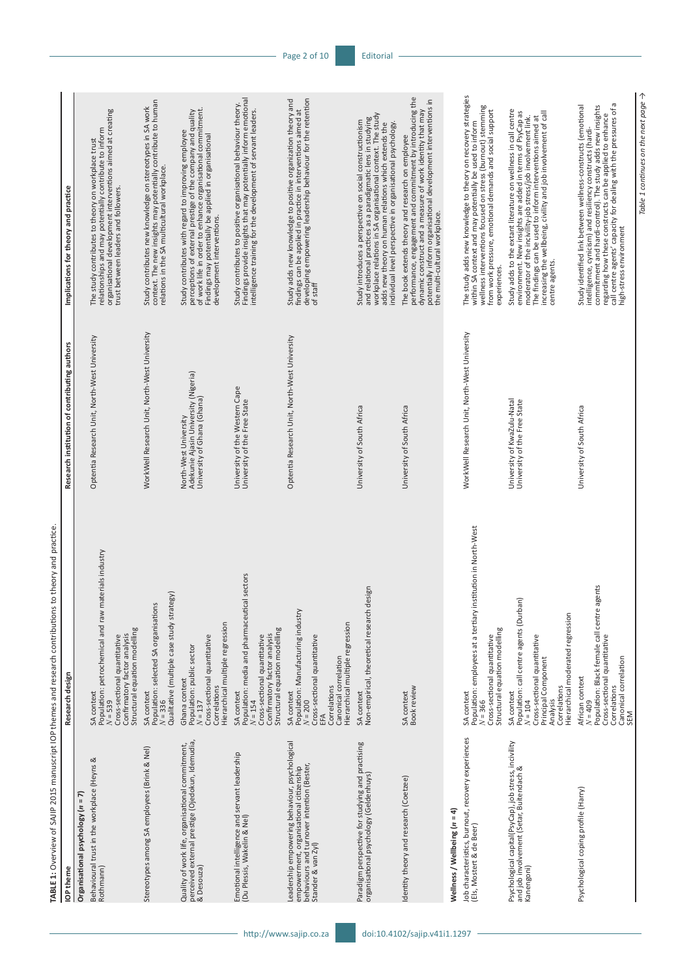|                                                                                                                                      | TABLE 1: Overview of SAJIP 2015 manuscript IOP themes and research contributions to theory and practice.                                                                                   |                                                                                              |                                                                                                                                                                                                                                                                                                                                              |
|--------------------------------------------------------------------------------------------------------------------------------------|--------------------------------------------------------------------------------------------------------------------------------------------------------------------------------------------|----------------------------------------------------------------------------------------------|----------------------------------------------------------------------------------------------------------------------------------------------------------------------------------------------------------------------------------------------------------------------------------------------------------------------------------------------|
| <b>IOP theme</b>                                                                                                                     | Research design                                                                                                                                                                            | Research institution of contributing authors                                                 | Implications for theory and practice                                                                                                                                                                                                                                                                                                         |
| Behavioural trust in the workplace (Heyns &<br>Rothmann)<br>$\overline{2}$<br>Organisational psychology (n                           | materials industry<br>Population: petrochemical and raw<br>Structural equation modelling<br>Confirmatory factor analysis<br>Cross-sectional quantitative<br>SA context<br>$N = 539$        | Optentia Research Unit, North-West University                                                | organisational development interventions aimed at creating<br>relationships and may potentially contribute to inform<br>The study contributes to theory on workplace trust<br>trust between leaders and followers.                                                                                                                           |
| Stereotypes among SA employees (Brink & Nel)                                                                                         | Qualitative (multiple case study strategy)<br>Population: selected SA organisations<br>SA context<br>$N = 336$                                                                             | WorkWell Research Unit, North-West University                                                | context. The new insights may potentially contribute to human<br>Study contributes new knowledge on stereotypes in SA work<br>relations in the SA multicultural workplace.                                                                                                                                                                   |
| Quality of work life, organisational commitment,<br>perceived external prestige (Ojedokun, Idemudia,<br>& Desouza)                   | Hierarchical multiple regression<br>Cross-sectional quantitative<br>Population: public sector<br>$N = 137$<br>Ghana context<br>Correlations                                                | Adekunie Ajasin University (Nigeria)<br>University of Ghana (Ghana)<br>North-West University | perceptions of external prestige of the company and quality<br>of work life in order to enhance organisational commitment.<br>development interventions eaplied in organisational<br>Study contributes with regard to improving employee                                                                                                     |
| Emotional intelligence and servant leadership<br>(Du Plessis, Wakelin & Nel)                                                         | cal sectors<br>Population: media and pharmaceuti<br>Structural equation modelling<br>Confirmatory factor analysis<br>Cross-sectional quantitative<br>SA context<br>$N = 154$               | University of the Western Cape<br>University of the Free State                               | Study contributes to positive organisational behaviour theory.<br>Findings provide insights that may potentially inform emotional<br>intelligence training for the development of servant leaders.                                                                                                                                           |
| Leadership empowering behaviour, psychological<br>empowerment, organisational citzenship<br>Stander & van Zyl)<br>Stander & van Zyl) | Population: Manufacturing industry<br>Hierarchical multiple regression<br>Cross-sectional quantitative<br>Canonical correlation<br>Correlations<br>SA context<br>$N = 200$                 | Optentia Research Unit, North-West University                                                | Study adds new knowledge to positive organization theory and<br>findings can be applied in practice in interventions aimed at<br>developing empowering leadership behaviour for the retention<br>of seeing                                                                                                                                   |
| Paradigm perspective for studying and practising<br>organisational psychology (Geldenhuys)                                           | design<br>Non-empirical, theoretical research<br>SA context                                                                                                                                | University of South Africa                                                                   | workplace relations in SA organisational context. The study<br>and relational practices as a paradigmatic lens in studying<br>Study introduces a perspective on social constructionism<br>individual level perspective in organisational psychology.<br>adds new theory on human relations which extends the                                 |
| Identity theory and research (Coetzee)                                                                                               | SA context<br>Book review                                                                                                                                                                  | University of South Africa                                                                   | performance, engagement and commitment by introducing the<br>potentially inform organisational development interventions in<br>dynamic construct and a measure of work identity that may<br>The book extends theory and research on employee<br>the multi-cultural workplace.                                                                |
| Wellness / Wellbeing $(n = 4)$                                                                                                       |                                                                                                                                                                                            |                                                                                              |                                                                                                                                                                                                                                                                                                                                              |
| Job characteristics, burnout, recovery experiences<br>(Els, Mostert & de Beer)                                                       | institution in North-West<br>Population: employees at a tertiary<br>Structural equation modelling<br>Cross-sectional quantitative<br>SA context<br>$N = 366$                               | WorkWell Research Unit, North-West University                                                | The study adds new knowledge to theory on recovery strategies<br>within SA context and may potentially be used to inform<br>within SA context and may potentially be used to inform<br>from work pressure, emotional demands and social<br>experiences.                                                                                      |
| Psychological capital(PsyCap), job stress, incivility<br>and job involvement (Setar, Buitendach &<br>Kanengoni)                      | Population: call centre agents (Durban)<br>Hierarchical moderated regression<br>Cross-sectional quantitative<br>Principal Component<br>Correlations<br>SA context<br>Analysis<br>$N = 104$ | University of KwaZulu-Natal<br>University of the Free State                                  | Study adds to the extant literature on wellness in call centre<br>increasing the wellbeing, civility and job involvement of call<br>environment. New insights are added in terms of PsyCap as<br>moderator of the incivility-job stress/job involvement link.<br>The findings can be used to inform interventions aimed at<br>centre agents. |
| Psychological coping profile (Harry)                                                                                                 | agents<br>Population: Black female call centre<br>Cross-sectional quantitative<br>Canonical correlation<br>African context<br>Correlations<br>$N = 409$<br>SEM                             | University of South Africa                                                                   | intelligence, cynicism) and resiliency constructs (hardi-commitment and hardi-control). The study adds new insights<br>regarding how these constructs can be applied to enhance<br>call centre agents' capacity for dealing with the<br>Study identified link between wellness-constructs (emotional<br>high-stress environment              |
|                                                                                                                                      |                                                                                                                                                                                            |                                                                                              |                                                                                                                                                                                                                                                                                                                                              |

### $-$  Page 2 of 10 Editorial -

Table 1 continues on the next page  $\rightarrow$ *Table 1 continues on the next page →*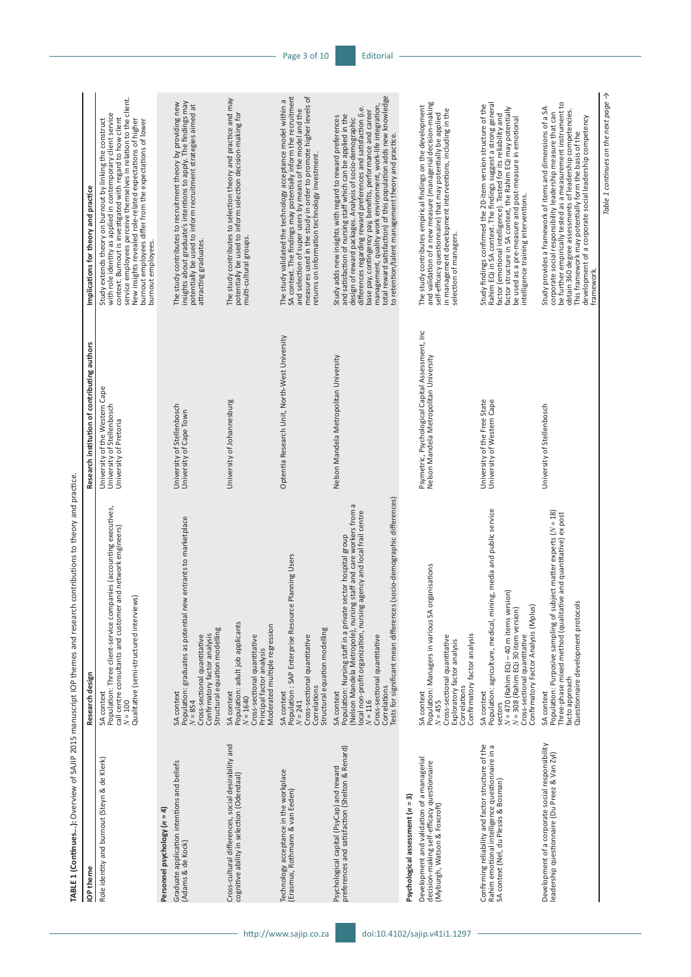|                                                                                                                                                | TABLE 1 (Continues): Overview of SAJIP 2015 manuscript IOP themes and research contributions to theory and practice.                                                                                                                                                                                                                                           |                                                                                            |                                                                                                                                                                                                                                                                                                                                                                                                                                                                                                                    |
|------------------------------------------------------------------------------------------------------------------------------------------------|----------------------------------------------------------------------------------------------------------------------------------------------------------------------------------------------------------------------------------------------------------------------------------------------------------------------------------------------------------------|--------------------------------------------------------------------------------------------|--------------------------------------------------------------------------------------------------------------------------------------------------------------------------------------------------------------------------------------------------------------------------------------------------------------------------------------------------------------------------------------------------------------------------------------------------------------------------------------------------------------------|
| <b>IOP theme</b>                                                                                                                               | Research design                                                                                                                                                                                                                                                                                                                                                | Research institution of contributing authors                                               | Implications for theory and practice                                                                                                                                                                                                                                                                                                                                                                                                                                                                               |
| Role identity and burnout (Steyn & de Klerk)                                                                                                   | Population: Three client-service companies (accounting executives,<br>call centre consultants and customer and network engineers)<br>Qualitative (semi-structured interviews)<br>SA context<br>$N = 100$                                                                                                                                                       | University of the Western Cape<br>University of Stellenbosch<br>University of Pretoria     | service employees perceive themselves in relation to the client.<br>with role identity as applied in contemporary client service<br>context. Burnout is investigated with regard to how client<br>Study extends theory on burnout by linking the construct<br>New insights revealed role-related expectations of higher<br>burnout employees differ from the expectations of lower<br>burnout employees.                                                                                                           |
| Personnel psychology (n = 4)                                                                                                                   |                                                                                                                                                                                                                                                                                                                                                                |                                                                                            |                                                                                                                                                                                                                                                                                                                                                                                                                                                                                                                    |
| Graduate application intentions and beliefs<br>(Adams & de Kock)                                                                               | Population: graduates as potential new entrants to marketplace<br>Structural equation modelling<br>Cross-sectional quantitative<br>Confirmatory factor analysis<br>SA context<br>$N = 854$                                                                                                                                                                     | University of Stellenbosch<br>University of Cape Town                                      | insights about graduate's intentions to apply. The findings may<br>The study contributes to recruitment theory by providing new<br>potentially be used to inform recruitment strategies aimed at<br>attracting graduates.                                                                                                                                                                                                                                                                                          |
| Cross-cultural differences, social desirability and<br>cognitive ability in selection (Odendaal)                                               | Population: adult job applicants<br>Moderated multiple regression<br>Cross-sectional quantitative<br>Principal factor analysis<br>SA context<br>$N = 1640$                                                                                                                                                                                                     | University of Johannesburg                                                                 | The study contributes to selection theory and practice and may<br>potentially be used to inform selection decision-making for<br>multi-cultural groups.                                                                                                                                                                                                                                                                                                                                                            |
| Technology acceptance in the workplace<br>(Erasmus, Rothmann & van Eeden)                                                                      | Population: SAP Enterprise Resource Planning Users<br>Structural equation modelling<br>Cross-sectional quantitative<br>Correlations<br>SA context<br>$N = 241$                                                                                                                                                                                                 | Optentia Research Unit, North-West University                                              | measures used in the study in order to promote higher levels of<br>returns on information technology investment.<br>SA context. The findings may potentially inform the recruitment<br>The study validated the technology acceptance model within a<br>and selection of super users by means of the model and the                                                                                                                                                                                                  |
| Psychological capital (PsyCap) and reward<br>preferences and satisfaction (Shelton & Renard)                                                   | Tests for significant mean differences (socio-demographic differences)<br>(Nelson Mandela Metropole), nursing staff and care workers from a<br>local non-profit organization, nursing agency and local frail centre<br>Population: Nursing staff in a private sector hospital group<br>Cross-sectional quantitative<br>Correlations<br>SA context<br>$N = 116$ | Nelson Mandela Metropolitan University                                                     | total reward satisfaction) of this population adds new knowledge<br>management, quality work environment, work-life integration,<br>differences regarding reward preferences and satisfaction (i.e<br>base pay, contingency pay, benefits, performance and career<br>and satisfaction of nursing staff which can be applied in the<br>Study adds new insights with regard to reward preferences<br>design of reward packages. Analysis of socio-demographic<br>to retention/talent management theory and practice. |
| Psychological assessment (n = 3)                                                                                                               |                                                                                                                                                                                                                                                                                                                                                                |                                                                                            |                                                                                                                                                                                                                                                                                                                                                                                                                                                                                                                    |
| Development and validation of a managerial<br>decision-making self-efficacy questionnaire<br>(Myburgh, Watson & Foxcroft)                      | organisations<br>Population: Managers in various SA<br>Confirmatory factor analysis<br>Cross-sectional quantitative<br>Exploratory factor analysis<br>Correlations<br>SA context<br>$N = 455$                                                                                                                                                                  | Psymetric, Psychological Capital Assessment, Inc<br>Nelson Mandela Metropolitan University | and validation of a new measure (managerial decision-making<br>The study contributes empirical findings on the development<br>in management development interventions, including in the<br>self-efficacy questionnaire) that may potentially be applied<br>selection of managers.                                                                                                                                                                                                                                  |
| Confirming reliability and factor structure of the<br>Rahim emotional intelligence questionnaire in a<br>SA context (Nel, du Plessis & Bosman) | Population: agriculture, medical, mining, media and public service<br>$N = 470$ (Rahim EQi – 40 m items version)<br>$N = 308$ (Rahim EQi 30 item version)<br>Confirmatory Factor Analysis (Mplus)<br>Cross-sectional quantitative<br>SA context<br>sectors                                                                                                     | University of the Free State<br>University of Western Cape                                 | Rahim EQi in SA context. The findings suggest a strong general<br>Study findings confirmed the 20-item version structure of the<br>factor structure in SA context, the Rahim EQi may potentially<br>be used as a pre-measure and post-measure in emotional<br>factor (emotional intelligence). Tested for its reliability and<br>intelligence training interventions.                                                                                                                                              |
| Development of a corporate social responsibility<br>leadership questionnaire (Du Preez & Van Zyl)                                              | Population: Purposive sampling of subject matter experts (N = 18)<br>Three-phase mixed method (qualitative and quantitative) ex post<br>Questionnaire development protocols<br>facto approach<br>SA context                                                                                                                                                    | University of Stellenbosch                                                                 | be further empirically tested as a measurement instrument to<br>Study provides a framework of items and dimensions of a SA<br>obtain 360 degree assessments of leadership competencies<br>corporate social responsibility leadership measure that can<br>development of a corporate social leadership competency<br>This framework may potentially form the basis of the<br>framework.                                                                                                                             |
|                                                                                                                                                |                                                                                                                                                                                                                                                                                                                                                                |                                                                                            | Table 1 continues on the next page $\rightarrow$                                                                                                                                                                                                                                                                                                                                                                                                                                                                   |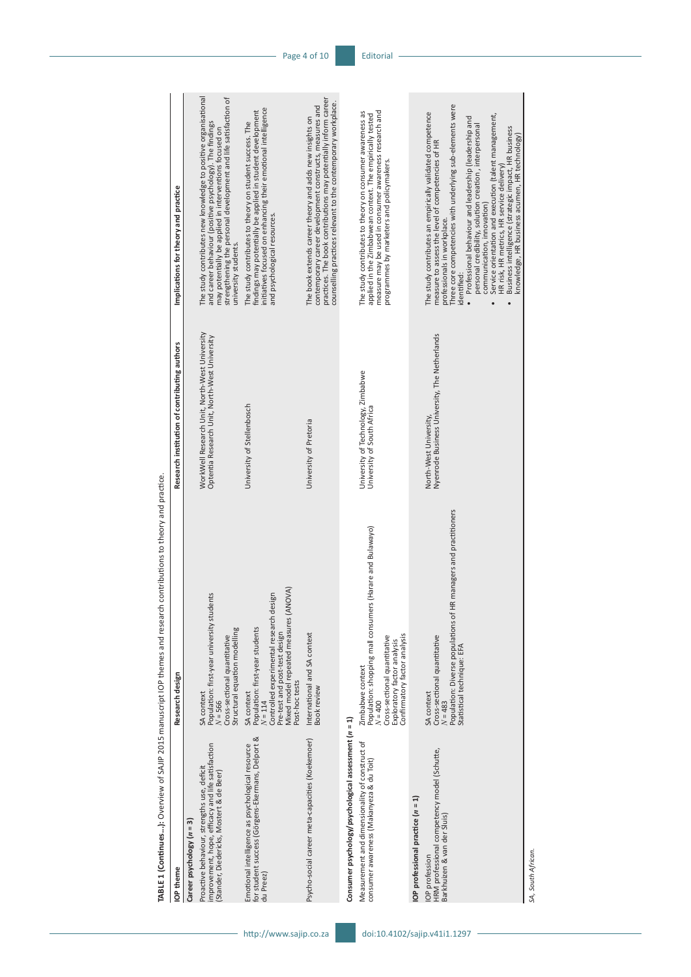| <b>IOP theme</b>                                                                                                                             | Research design                                                                                                                                                                                   | Research institution of contributing authors                                                   | Implications for theory and practice                                                                                                                                                                                                                                                                                                                                                                                                                                                                                                                                                                   |
|----------------------------------------------------------------------------------------------------------------------------------------------|---------------------------------------------------------------------------------------------------------------------------------------------------------------------------------------------------|------------------------------------------------------------------------------------------------|--------------------------------------------------------------------------------------------------------------------------------------------------------------------------------------------------------------------------------------------------------------------------------------------------------------------------------------------------------------------------------------------------------------------------------------------------------------------------------------------------------------------------------------------------------------------------------------------------------|
| Career psychology $(n = 3)$                                                                                                                  |                                                                                                                                                                                                   |                                                                                                |                                                                                                                                                                                                                                                                                                                                                                                                                                                                                                                                                                                                        |
| improvement, hope, efficacy and life satisfaction<br>Proactive behaviour, strengths use, deficit<br>(Stander, Diedericks, Mostert & de Beer) | Population: first-year university students<br>Structural equation modelling<br>Cross-sectional quantitative<br>SA context<br>$N = 566$                                                            | WorkWell Research Unit, North-West University<br>Optentia Research Unit, North-West University | The study contributes new knowledge to positive organisational<br>strengthening the personal development and life satisfaction of<br>and career behaviour (positive psychology). The findings<br>may potentially be applied in interventions focused on<br>university students.                                                                                                                                                                                                                                                                                                                        |
| for student success (Görgens-Ekermans, Delport &<br>Emotional intelligence as psychological resource<br>du Preez)                            | Mixed model repeated measures (ANOVA)<br>Controlled experimental research design<br>Population: first-year students<br>Pre-test and post-test design<br>Post-hoc tests<br>SA context<br>$N = 114$ | University of Stellenbosch                                                                     | initiatives focused on enhancing their emotional intelligence<br>findings may potentially be applied in student development<br>The study contributes to theory on student success. The<br>and psychological resources.                                                                                                                                                                                                                                                                                                                                                                                 |
| Psycho-social career meta-capacities (Koekemoer)                                                                                             | International and SA context<br>Book review                                                                                                                                                       | University of Pretoria                                                                         | practices. The book contributions may potentially inform career<br>counselling practices relevant to the contemporary workplace.<br>contemporary career development constructs, measures and<br>The book extends career theory and adds new insights on                                                                                                                                                                                                                                                                                                                                                |
| Consumer psychology/psychological assessment (n = 1)                                                                                         |                                                                                                                                                                                                   |                                                                                                |                                                                                                                                                                                                                                                                                                                                                                                                                                                                                                                                                                                                        |
| Measurement and dimensionality of construct of<br>consumer awareness (Makanyeza & du Toit)                                                   | Population: shopping mall consumers (Harare and Bulawayo)<br>Confirmatory factor analysis<br>Cross-sectional quantitative<br>Exploratory factor analysis<br>Zimbabwe context<br>$N = 400$         | University of Technology, Zimbabwe<br>University of South Africa                               | measure may be used in consumer awareness research and<br>The study contributes to theory on consumer awareness as<br>applied in the Zimbabwean context. The empirically tested<br>programmes by marketers and policymakers.                                                                                                                                                                                                                                                                                                                                                                           |
| <b>IOP</b> professional practice $(n = 1)$                                                                                                   |                                                                                                                                                                                                   |                                                                                                |                                                                                                                                                                                                                                                                                                                                                                                                                                                                                                                                                                                                        |
| HRM professional competency model (Schutte,<br>Barkhuizen & van der Sluis)<br>IOP profession                                                 | HR managers and practitioners<br>Population: Diverse populations of<br>Cross-sectional quantitative<br>Statistical technique: EFA<br>SA context<br>$N = 483$                                      | Nyenrode Business University, The Netherlands<br>North-West University,                        | Three core competencies with underlying sub-elements were<br>The study contributes an empirically validated competence<br>Service orientation and execution (talent management,<br>Professional behaviour and leadership (leadership and<br>personal credibility, solution creation, interpersonal<br>Business intelligence (strategic impact, HR business<br>knowledge, HR business acumen, HR technology)<br>measure to assess the level of competencies of HR<br>HR risk, HR metrics, HR service delivery)<br>communication, innovation)<br>professionals in workplace.<br>identified:<br>$\bullet$ |
| SA, South African.                                                                                                                           |                                                                                                                                                                                                   |                                                                                                |                                                                                                                                                                                                                                                                                                                                                                                                                                                                                                                                                                                                        |

**TABLE 1 (Continues...):** Overview of SAJIP 2015 manuscript IOP themes and research contributions to theory and practice.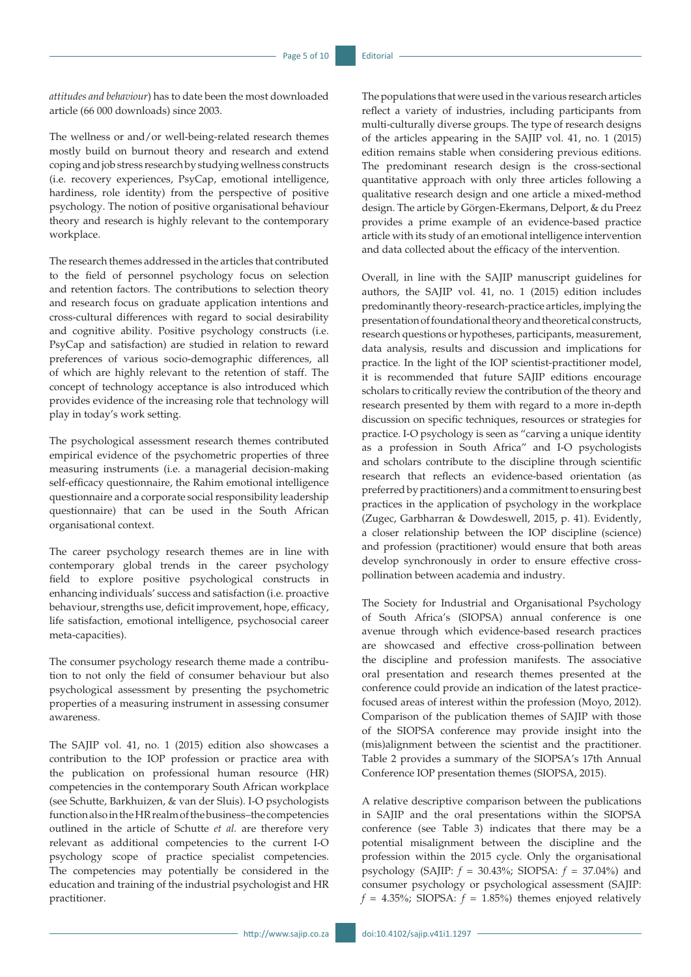*attitudes and behaviour*) has to date been the most downloaded article (66 000 downloads) since 2003.

The wellness or and/or well-being-related research themes mostly build on burnout theory and research and extend coping and job stress research by studying wellness constructs (i.e. recovery experiences, PsyCap, emotional intelligence, hardiness, role identity) from the perspective of positive psychology. The notion of positive organisational behaviour theory and research is highly relevant to the contemporary workplace.

The research themes addressed in the articles that contributed to the field of personnel psychology focus on selection and retention factors. The contributions to selection theory and research focus on graduate application intentions and cross-cultural differences with regard to social desirability and cognitive ability. Positive psychology constructs (i.e. PsyCap and satisfaction) are studied in relation to reward preferences of various socio-demographic differences, all of which are highly relevant to the retention of staff. The concept of technology acceptance is also introduced which provides evidence of the increasing role that technology will play in today's work setting.

The psychological assessment research themes contributed empirical evidence of the psychometric properties of three measuring instruments (i.e. a managerial decision-making self-efficacy questionnaire, the Rahim emotional intelligence questionnaire and a corporate social responsibility leadership questionnaire) that can be used in the South African organisational context.

The career psychology research themes are in line with contemporary global trends in the career psychology field to explore positive psychological constructs in enhancing individuals' success and satisfaction (i.e. proactive behaviour, strengths use, deficit improvement, hope, efficacy, life satisfaction, emotional intelligence, psychosocial career meta-capacities).

The consumer psychology research theme made a contribution to not only the field of consumer behaviour but also psychological assessment by presenting the psychometric properties of a measuring instrument in assessing consumer awareness.

The SAJIP vol. 41, no. 1 (2015) edition also showcases a contribution to the IOP profession or practice area with the publication on professional human resource (HR) competencies in the contemporary South African workplace (see Schutte, Barkhuizen, & van der Sluis). I-O psychologists function also in the HR realm of the business–the competencies outlined in the article of Schutte *et al.* are therefore very relevant as additional competencies to the current I-O psychology scope of practice specialist competencies. The competencies may potentially be considered in the education and training of the industrial psychologist and HR practitioner.

The populations that were used in the various research articles reflect a variety of industries, including participants from multi-culturally diverse groups. The type of research designs of the articles appearing in the SAJIP vol. 41, no. 1 (2015) edition remains stable when considering previous editions. The predominant research design is the cross-sectional quantitative approach with only three articles following a qualitative research design and one article a mixed-method design. The article by Görgen-Ekermans, Delport, & du Preez provides a prime example of an evidence-based practice article with its study of an emotional intelligence intervention and data collected about the efficacy of the intervention.

Overall, in line with the SAJIP manuscript guidelines for authors, the SAJIP vol. 41, no. 1 (2015) edition includes predominantly theory-research-practice articles, implying the presentation of foundational theory and theoretical constructs, research questions or hypotheses, participants, measurement, data analysis, results and discussion and implications for practice. In the light of the IOP scientist-practitioner model, it is recommended that future SAJIP editions encourage scholars to critically review the contribution of the theory and research presented by them with regard to a more in-depth discussion on specific techniques, resources or strategies for practice. I-O psychology is seen as "carving a unique identity as a profession in South Africa" and I-O psychologists and scholars contribute to the discipline through scientific research that reflects an evidence-based orientation (as preferred by practitioners) and a commitment to ensuring best practices in the application of psychology in the workplace (Zugec, Garbharran & Dowdeswell, 2015, p. 41). Evidently, a closer relationship between the IOP discipline (science) and profession (practitioner) would ensure that both areas develop synchronously in order to ensure effective crosspollination between academia and industry.

The Society for Industrial and Organisational Psychology of South Africa's (SIOPSA) annual conference is one avenue through which evidence-based research practices are showcased and effective cross-pollination between the discipline and profession manifests. The associative oral presentation and research themes presented at the conference could provide an indication of the latest practicefocused areas of interest within the profession (Moyo, 2012). Comparison of the publication themes of SAJIP with those of the SIOPSA conference may provide insight into the (mis)alignment between the scientist and the practitioner. Table 2 provides a summary of the SIOPSA's 17th Annual Conference IOP presentation themes (SIOPSA, 2015).

A relative descriptive comparison between the publications in SAJIP and the oral presentations within the SIOPSA conference (see Table 3) indicates that there may be a potential misalignment between the discipline and the profession within the 2015 cycle. Only the organisational psychology (SAJIP: *f* = 30.43%; SIOPSA: *f* = 37.04%) and consumer psychology or psychological assessment (SAJIP:  $f = 4.35\%$ ; SIOPSA:  $f = 1.85\%$ ) themes enjoyed relatively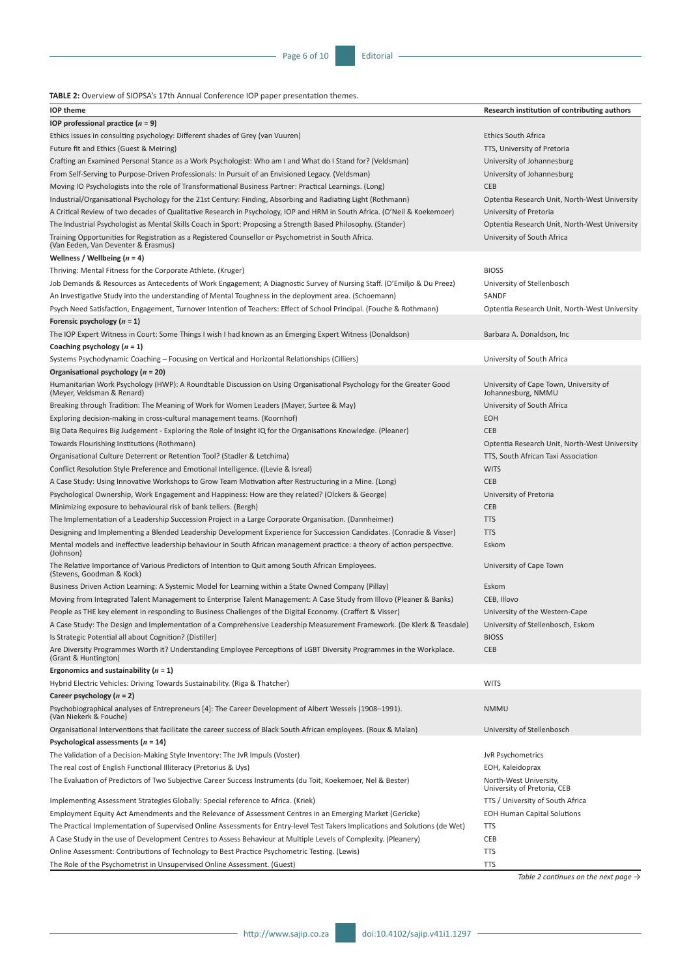**TABLE 2:** Overview of SIOPSA's 17th Annual Conference IOP paper presentation themes.

### **IOP theme Research institution of contributing authors**

| IOP professional practice $(n = 9)$                                                                                                               |                                                              |
|---------------------------------------------------------------------------------------------------------------------------------------------------|--------------------------------------------------------------|
| Ethics issues in consulting psychology: Different shades of Grey (van Vuuren)                                                                     | Ethics South Africa                                          |
| Future fit and Ethics (Guest & Meiring)                                                                                                           | TTS, University of Pretoria                                  |
| Crafting an Examined Personal Stance as a Work Psychologist: Who am I and What do I Stand for? (Veldsman)                                         | University of Johannesburg                                   |
| From Self-Serving to Purpose-Driven Professionals: In Pursuit of an Envisioned Legacy. (Veldsman)                                                 | University of Johannesburg                                   |
| Moving IO Psychologists into the role of Transformational Business Partner: Practical Learnings. (Long)<br><b>CEB</b>                             |                                                              |
| Industrial/Organisational Psychology for the 21st Century: Finding, Absorbing and Radiating Light (Rothmann)                                      | Optentia Research Unit, North-West University                |
| A Critical Review of two decades of Qualitative Research in Psychology, IOP and HRM in South Africa. (O'Neil & Koekemoer)                         | University of Pretoria                                       |
| The Industrial Psychologist as Mental Skills Coach in Sport: Proposing a Strength Based Philosophy. (Stander)                                     | Optentia Research Unit, North-West University                |
| Training Opportunities for Registration as a Registered Counsellor or Psychometrist in South Africa.<br>(Van Eeden, Van Deventer & Erasmus)       | University of South Africa                                   |
| Wellness / Wellbeing $(n = 4)$                                                                                                                    |                                                              |
| Thriving: Mental Fitness for the Corporate Athlete. (Kruger)                                                                                      | <b>BIOSS</b>                                                 |
| Job Demands & Resources as Antecedents of Work Engagement; A Diagnostic Survey of Nursing Staff. (D'Emiljo & Du Preez)                            | University of Stellenbosch                                   |
| (Schoemann) An Irectigative Study into the understanding of Mental Toughness in the deployment area.                                              | SANDF                                                        |
| Psych Need Satisfaction, Engagement, Turnover Intention of Teachers: Effect of School Principal. (Fouche & Rothmann)                              | Optentia Research Unit, North-West University                |
| Forensic psychology $(n = 1)$                                                                                                                     |                                                              |
| The IOP Expert Witness in Court: Some Things I wish I had known as an Emerging Expert Witness (Donaldson)                                         | Barbara A. Donaldson, Inc.                                   |
| Coaching psychology $(n = 1)$                                                                                                                     |                                                              |
| Systems Psychodynamic Coaching - Focusing on Vertical and Horizontal Relationships (Cilliers)                                                     | University of South Africa                                   |
| Organisational psychology ( $n = 20$ )                                                                                                            |                                                              |
| Humanitarian Work Psychology (HWP): A Roundtable Discussion on Using Organisational Psychology for the Greater Good<br>(Meyer, Veldsman & Renard) | University of Cape Town, University of<br>Johannesburg, NMMU |
| Breaking through Tradition: The Meaning of Work for Women Leaders (Mayer, Surtee & May)                                                           | University of South Africa                                   |
| Exploring decision-making in cross-cultural management teams. (Koornhof)                                                                          | <b>EOH</b>                                                   |
| Big Data Requires Big Judgement - Exploring the Role of Insight IQ for the Organisations Knowledge. (Pleaner)                                     | <b>CEB</b>                                                   |
| Towards Flourishing Institutions (Rothmann)                                                                                                       | Optentia Research Unit, North-West University                |
| Organisational Culture Deterrent or Retention Tool? (Stadler & Letchima)                                                                          | TTS, South African Taxi Association                          |
| Conflict Resolution Style Preference and Emotional Intelligence. ((Levie & Isreal)                                                                | <b>WITS</b>                                                  |
| A Case Study: Using Innovative Workshops to Grow Team Motivation after Restructuring in a Mine. (Long)                                            | <b>CEB</b>                                                   |
| Psychological Ownership, Work Engagement and Happiness: How are they related? (Olckers & George)                                                  | University of Pretoria                                       |
| Minimizing exposure to behavioural risk of bank tellers. (Bergh)                                                                                  | <b>CEB</b>                                                   |
| The Implementation of a Leadership Succession Project in a Large Corporate Organisation. (Dannheimer)                                             | <b>TTS</b>                                                   |
| Designing and Implementing a Blended Leadership Development Experience for Succession Candidates. (Conradie & Visser)                             | <b>TTS</b>                                                   |
| Mental models and ineffective leadership behaviour in South African management practice: a theory of action perspective.<br>(Johnson)             | Eskom                                                        |
| The Relative Importance of Various Predictors of Intention to Quit among South African Employees.<br>(Stevens, Goodman & Kock)                    | University of Cape Town                                      |
| Business Driven Action Learning: A Systemic Model for Learning within a State Owned Company (Pillay)                                              | Eskom                                                        |
| Moving from Integrated Talent Management to Enterprise Talent Management: A Case Study from Illovo (Pleaner & Banks)                              | CEB, Illovo                                                  |
| People as THE key element in responding to Business Challenges of the Digital Economy. (Craffert & Visser)                                        | University of the Western-Cape                               |
| A Case Study: The Design and Implementation of a Comprehensive Leadership Measurement Framework. (De Klerk & Teasdale)                            | University of Stellenbosch, Eskom                            |
| Is Strategic Potential all about Cognition? (Distiller)                                                                                           | <b>BIOSS</b>                                                 |
| Are Diversity Programmes Worth it? Understanding Employee Perceptions of LGBT Diversity Programmes in the Workplace.<br>(Grant & Huntington)      | <b>CEB</b>                                                   |
| Ergonomics and sustainability $(n = 1)$                                                                                                           |                                                              |
| Hybrid Electric Vehicles: Driving Towards Sustainability. (Riga & Thatcher)                                                                       | <b>WITS</b>                                                  |
| Career psychology $(n = 2)$                                                                                                                       |                                                              |
| Psychobiographical analyses of Entrepreneurs [4]: The Career Development of Albert Wessels (1908-1991).<br>(Van Niekerk & Fouche)                 | <b>NMMU</b>                                                  |
| Organisational Interventions that facilitate the career success of Black South African employees. (Roux & Malan)                                  | University of Stellenbosch                                   |
| Psychological assessments ( $n = 14$ )                                                                                                            |                                                              |
| The Validation of a Decision-Making Style Inventory: The JvR Impuls (Voster)                                                                      | JvR Psychometrics                                            |
| The real cost of English Functional Illiteracy (Pretorius & Uys)                                                                                  | EOH, Kaleidoprax                                             |
| The Evaluation of Predictors of Two Subjective Career Success Instruments (du Toit, Koekemoer, Nel & Bester)                                      | North-West University,<br>University of Pretoria, CEB        |
| Implementing Assessment Strategies Globally: Special reference to Africa. (Kriek)                                                                 | TTS / University of South Africa                             |
| Employment Equity Act Amendments and the Relevance of Assessment Centres in an Emerging Market (Gericke)                                          | <b>EOH Human Capital Solutions</b>                           |
| The Practical Implementation of Supervised Online Assessments for Entry-level Test Takers Implications and Solutions (de Wet)                     | TTS                                                          |
| A Case Study in the use of Development Centres to Assess Behaviour at Multiple Levels of Complexity. (Pleanery)                                   | CEB                                                          |
| Online Assessment: Contributions of Technology to Best Practice Psychometric Testing. (Lewis)                                                     | <b>TTS</b>                                                   |
| The Role of the Psychometrist in Unsupervised Online Assessment. (Guest)                                                                          | <b>TTS</b>                                                   |

*Table 2 continues on the next page →*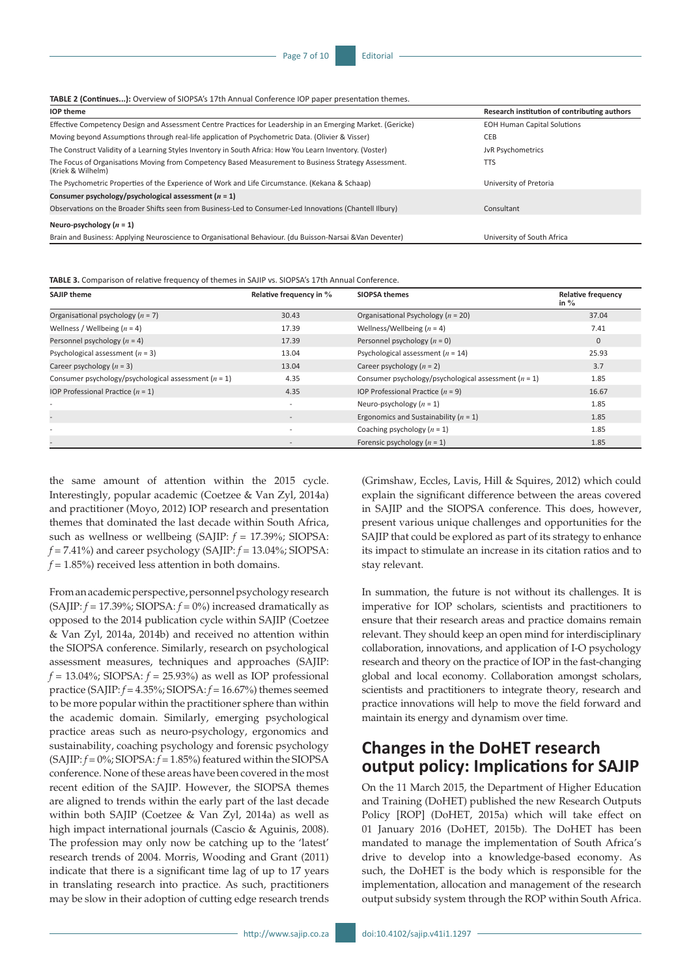#### **TABLE 2 (Continues...):** Overview of SIOPSA's 17th Annual Conference IOP paper presentation themes.

| IOP theme                                                                                                                 | Research institution of contributing authors |
|---------------------------------------------------------------------------------------------------------------------------|----------------------------------------------|
| Effective Competency Design and Assessment Centre Practices for Leadership in an Emerging Market. (Gericke)               | <b>EOH Human Capital Solutions</b>           |
| Moving beyond Assumptions through real-life application of Psychometric Data. (Olivier & Visser)                          | CEB                                          |
| The Construct Validity of a Learning Styles Inventory in South Africa: How You Learn Inventory. (Voster)                  | JvR Psychometrics                            |
| The Focus of Organisations Moving from Competency Based Measurement to Business Strategy Assessment.<br>(Kriek & Wilhelm) | <b>TTS</b>                                   |
| The Psychometric Properties of the Experience of Work and Life Circumstance. (Kekana & Schaap)                            | University of Pretoria                       |
| Consumer psychology/psychological assessment $(n = 1)$                                                                    |                                              |
| Observations on the Broader Shifts seen from Business-Led to Consumer-Led Innovations (Chantell Ilbury)                   | Consultant                                   |
| Neuro-psychology $(n = 1)$                                                                                                |                                              |
| Brain and Business: Applying Neuroscience to Organisational Behaviour. (du Buisson-Narsai & Van Deventer)                 | University of South Africa                   |

**TABLE 3.** Comparison of relative frequency of themes in SAJIP vs. SIOPSA's 17th Annual Conference.

| <b>SAJIP theme</b>                                     | Relative frequency in %  | <b>SIOPSA themes</b>                                   | <b>Relative frequency</b><br>in $\%$ |
|--------------------------------------------------------|--------------------------|--------------------------------------------------------|--------------------------------------|
| Organisational psychology ( $n = 7$ )                  | 30.43                    | Organisational Psychology ( $n = 20$ )                 | 37.04                                |
| Wellness / Wellbeing $(n = 4)$                         | 17.39                    | Wellness/Wellbeing $(n = 4)$                           | 7.41                                 |
| Personnel psychology $(n = 4)$                         | 17.39                    | Personnel psychology $(n = 0)$                         | $\mathbf{0}$                         |
| Psychological assessment ( $n = 3$ )                   | 13.04                    | Psychological assessment ( $n = 14$ )                  | 25.93                                |
| Career psychology $(n = 3)$                            | 13.04                    | Career psychology $(n = 2)$                            | 3.7                                  |
| Consumer psychology/psychological assessment $(n = 1)$ | 4.35                     | Consumer psychology/psychological assessment $(n = 1)$ | 1.85                                 |
| IOP Professional Practice $(n = 1)$                    | 4.35                     | IOP Professional Practice ( $n = 9$ )                  | 16.67                                |
|                                                        | $\overline{\phantom{a}}$ | Neuro-psychology $(n = 1)$                             | 1.85                                 |
|                                                        | $\overline{\phantom{a}}$ | Ergonomics and Sustainability ( $n = 1$ )              | 1.85                                 |
|                                                        | $\overline{\phantom{a}}$ | Coaching psychology $(n = 1)$                          | 1.85                                 |
|                                                        |                          | Forensic psychology $(n = 1)$                          | 1.85                                 |

the same amount of attention within the 2015 cycle. Interestingly, popular academic (Coetzee & Van Zyl, 2014a) and practitioner (Moyo, 2012) IOP research and presentation themes that dominated the last decade within South Africa, such as wellness or wellbeing (SAJIP: *f* = 17.39%; SIOPSA: *f* = 7.41%) and career psychology (SAJIP: *f* = 13.04%; SIOPSA:  $f = 1.85\%$ ) received less attention in both domains.

From an academic perspective, personnel psychology research (SAJIP: *f* = 17.39%; SIOPSA: *f* = 0%) increased dramatically as opposed to the 2014 publication cycle within SAJIP (Coetzee & Van Zyl, 2014a, 2014b) and received no attention within the SIOPSA conference. Similarly, research on psychological assessment measures, techniques and approaches (SAJIP:  $f = 13.04\%$ ; SIOPSA:  $f = 25.93\%$ ) as well as IOP professional practice (SAJIP: *f* = 4.35%; SIOPSA: *f* = 16.67%) themes seemed to be more popular within the practitioner sphere than within the academic domain. Similarly, emerging psychological practice areas such as neuro-psychology, ergonomics and sustainability, coaching psychology and forensic psychology (SAJIP: *f* = 0%; SIOPSA: *f* = 1.85%) featured within the SIOPSA conference. None of these areas have been covered in the most recent edition of the SAJIP. However, the SIOPSA themes are aligned to trends within the early part of the last decade within both SAJIP (Coetzee & Van Zyl, 2014a) as well as high impact international journals (Cascio & Aguinis, 2008). The profession may only now be catching up to the 'latest' research trends of 2004. Morris, Wooding and Grant (2011) indicate that there is a significant time lag of up to 17 years in translating research into practice. As such, practitioners may be slow in their adoption of cutting edge research trends

(Grimshaw, Eccles, Lavis, Hill & Squires, 2012) which could explain the significant difference between the areas covered in SAJIP and the SIOPSA conference. This does, however, present various unique challenges and opportunities for the SAJIP that could be explored as part of its strategy to enhance its impact to stimulate an increase in its citation ratios and to stay relevant.

In summation, the future is not without its challenges. It is imperative for IOP scholars, scientists and practitioners to ensure that their research areas and practice domains remain relevant. They should keep an open mind for interdisciplinary collaboration, innovations, and application of I-O psychology research and theory on the practice of IOP in the fast-changing global and local economy. Collaboration amongst scholars, scientists and practitioners to integrate theory, research and practice innovations will help to move the field forward and maintain its energy and dynamism over time.

# **Changes in the DoHET research output policy: Implications for SAJIP**

On the 11 March 2015, the Department of Higher Education and Training (DoHET) published the new [Research Outputs](http://www.dhet.gov.za/Policy and Development Support/Research Outputs policy gazette 2015.pdf)  [Policy](http://www.dhet.gov.za/Policy and Development Support/Research Outputs policy gazette 2015.pdf) [ROP] (DoHET, 2015a) which will take effect on 01 January 2016 (DoHET, 2015b). The DoHET has been mandated to manage the implementation of South Africa's drive to develop into a knowledge-based economy. As such, the DoHET is the body which is responsible for the implementation, allocation and management of the research output subsidy system through the ROP within South Africa.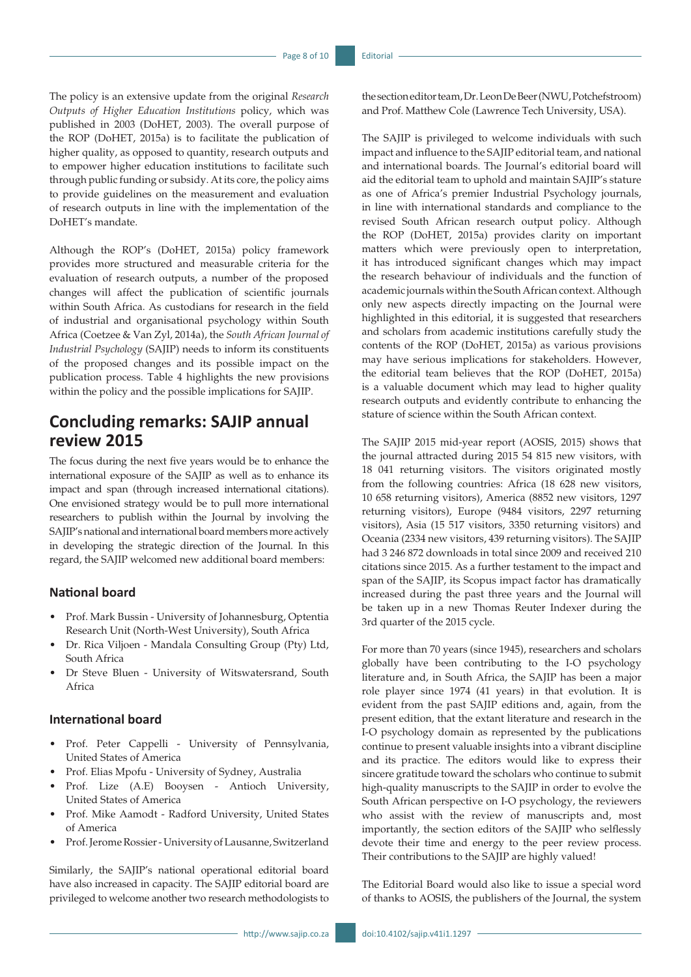The policy is an extensive update from the original *Research Outputs of Higher Education Institutions* policy, which was published in 2003 (DoHET, 2003). The overall purpose of the ROP (DoHET, 2015a) is to facilitate the publication of higher quality, as opposed to quantity, research outputs and to empower higher education institutions to facilitate such through public funding or subsidy. At its core, the policy aims to provide guidelines on the measurement and evaluation of research outputs in line with the implementation of the DoHET's mandate.

Although the ROP's (DoHET, 2015a) policy framework provides more structured and measurable criteria for the evaluation of research outputs, a number of the proposed changes will affect the publication of scientific journals within South Africa. As custodians for research in the field of industrial and organisational psychology within South Africa (Coetzee & Van Zyl, 2014a), the *South African Journal of Industrial Psychology* (SAJIP) needs to inform its constituents of the proposed changes and its possible impact on the publication process. Table 4 highlights the new provisions within the policy and the possible implications for SAJIP.

# **Concluding remarks: SAJIP annual review 2015**

The focus during the next five years would be to enhance the international exposure of the SAJIP as well as to enhance its impact and span (through increased international citations). One envisioned strategy would be to pull more international researchers to publish within the Journal by involving the SAJIP's national and international board members more actively in developing the strategic direction of the Journal. In this regard, the SAJIP welcomed new additional board members:

### **National board**

- Prof. Mark Bussin University of Johannesburg, Optentia Research Unit (North-West University), South Africa
- Dr. Rica Viljoen Mandala Consulting Group (Pty) Ltd, South Africa
- Dr Steve Bluen University of Witswatersrand, South Africa

### **International board**

- Prof. Peter Cappelli University of Pennsylvania, United States of America
- Prof. Elias Mpofu University of Sydney, Australia
- Prof. Lize (A.E) Booysen Antioch University, United States of America
- Prof. Mike Aamodt Radford University, United States of America
- Prof. Jerome Rossier University of Lausanne, Switzerland

Similarly, the SAJIP's national operational editorial board have also increased in capacity. The SAJIP editorial board are privileged to welcome another two research methodologists to the section editor team, Dr. Leon De Beer (NWU, Potchefstroom) and Prof. Matthew Cole (Lawrence Tech University, USA).

The SAJIP is privileged to welcome individuals with such impact and influence to the SAJIP editorial team, and national and international boards. The Journal's editorial board will aid the editorial team to uphold and maintain SAJIP's stature as one of Africa's premier Industrial Psychology journals, in line with international standards and compliance to the revised South African research output policy. Although the ROP (DoHET, 2015a) provides clarity on important matters which were previously open to interpretation, it has introduced significant changes which may impact the research behaviour of individuals and the function of academic journals within the South African context. Although only new aspects directly impacting on the Journal were highlighted in this editorial, it is suggested that researchers and scholars from academic institutions carefully study the contents of the ROP (DoHET, 2015a) as various provisions may have serious implications for stakeholders. However, the editorial team believes that the ROP (DoHET, 2015a) is a valuable document which may lead to higher quality research outputs and evidently contribute to enhancing the stature of science within the South African context.

The SAJIP 2015 mid-year report (AOSIS, 2015) shows that the journal attracted during 2015 54 815 new visitors, with 18 041 returning visitors. The visitors originated mostly from the following countries: Africa (18 628 new visitors, 10 658 returning visitors), America (8852 new visitors, 1297 returning visitors), Europe (9484 visitors, 2297 returning visitors), Asia (15 517 visitors, 3350 returning visitors) and Oceania (2334 new visitors, 439 returning visitors). The SAJIP had 3 246 872 downloads in total since 2009 and received 210 citations since 2015. As a further testament to the impact and span of the SAJIP, its Scopus impact factor has dramatically increased during the past three years and the Journal will be taken up in a new Thomas Reuter Indexer during the 3rd quarter of the 2015 cycle.

For more than 70 years (since 1945), researchers and scholars globally have been contributing to the I-O psychology literature and, in South Africa, the SAJIP has been a major role player since 1974 (41 years) in that evolution. It is evident from the past SAJIP editions and, again, from the present edition, that the extant literature and research in the I-O psychology domain as represented by the publications continue to present valuable insights into a vibrant discipline and its practice. The editors would like to express their sincere gratitude toward the scholars who continue to submit high-quality manuscripts to the SAJIP in order to evolve the South African perspective on I-O psychology, the reviewers who assist with the review of manuscripts and, most importantly, the section editors of the SAJIP who selflessly devote their time and energy to the peer review process. Their contributions to the SAJIP are highly valued!

The Editorial Board would also like to issue a special word of thanks to AOSIS, the publishers of the Journal, the system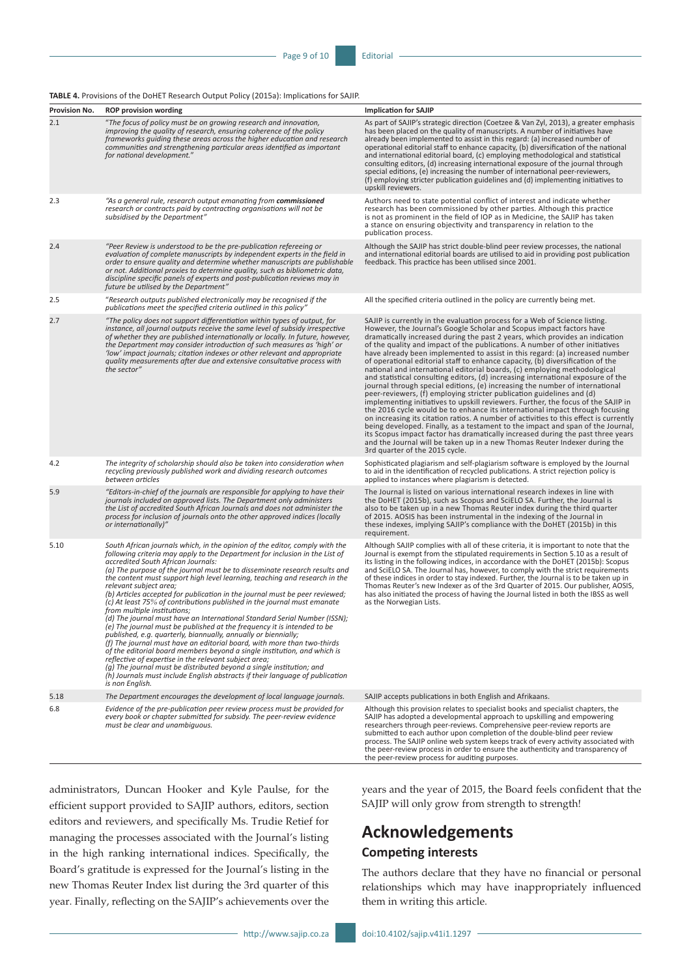#### **TABLE 4.** Provisions of the DoHET Research Output Policy (2015a): Implications for SAJIP.

| Provision No. | <b>ROP provision wording</b>                                                                                                                                                                                                                                                                                                                                                                                                                                                                                                                                                                                                                                                                                                                                                                                                                                                                                                                                                                                                                                                                                                                                                                         | <b>Implication for SAJIP</b>                                                                                                                                                                                                                                                                                                                                                                                                                                                                                                                                                                                                                                                                                                                                                                                                                                                                                                                                                                                                                                                                                                                                                                                                                                                                                                                                       |
|---------------|------------------------------------------------------------------------------------------------------------------------------------------------------------------------------------------------------------------------------------------------------------------------------------------------------------------------------------------------------------------------------------------------------------------------------------------------------------------------------------------------------------------------------------------------------------------------------------------------------------------------------------------------------------------------------------------------------------------------------------------------------------------------------------------------------------------------------------------------------------------------------------------------------------------------------------------------------------------------------------------------------------------------------------------------------------------------------------------------------------------------------------------------------------------------------------------------------|--------------------------------------------------------------------------------------------------------------------------------------------------------------------------------------------------------------------------------------------------------------------------------------------------------------------------------------------------------------------------------------------------------------------------------------------------------------------------------------------------------------------------------------------------------------------------------------------------------------------------------------------------------------------------------------------------------------------------------------------------------------------------------------------------------------------------------------------------------------------------------------------------------------------------------------------------------------------------------------------------------------------------------------------------------------------------------------------------------------------------------------------------------------------------------------------------------------------------------------------------------------------------------------------------------------------------------------------------------------------|
| 2.1           | "The focus of policy must be on growing research and innovation,<br>improving the quality of research, ensuring coherence of the policy<br>frameworks quiding these areas across the higher education and research<br>communities and strengthening particular areas identified as important<br>for national development."                                                                                                                                                                                                                                                                                                                                                                                                                                                                                                                                                                                                                                                                                                                                                                                                                                                                           | As part of SAJIP's strategic direction (Coetzee & Van Zyl, 2013), a greater emphasis<br>has been placed on the quality of manuscripts. A number of initiatives have<br>already been implemented to assist in this regard: (a) increased number of<br>operational editorial staff to enhance capacity, (b) diversification of the national<br>and international editorial board, (c) employing methodological and statistical<br>consulting editors, (d) increasing international exposure of the journal through<br>special editions, (e) increasing the number of international peer-reviewers,<br>(f) employing stricter publication guidelines and (d) implementing initiatives to<br>upskill reviewers.                                                                                                                                                                                                                                                                                                                                                                                                                                                                                                                                                                                                                                                        |
| 2.3           | "As a general rule, research output emanating from <b>commissioned</b><br>research or contracts paid by contracting organisations will not be<br>subsidised by the Department"                                                                                                                                                                                                                                                                                                                                                                                                                                                                                                                                                                                                                                                                                                                                                                                                                                                                                                                                                                                                                       | Authors need to state potential conflict of interest and indicate whether<br>research has been commissioned by other parties. Although this practice<br>is not as prominent in the field of IOP as in Medicine, the SAJIP has taken<br>a stance on ensuring objectivity and transparency in relation to the<br>publication process.                                                                                                                                                                                                                                                                                                                                                                                                                                                                                                                                                                                                                                                                                                                                                                                                                                                                                                                                                                                                                                |
| 2.4           | "Peer Review is understood to be the pre-publication refereeing or<br>evaluation of complete manuscripts by independent experts in the field in<br>order to ensure quality and determine whether manuscripts are publishable<br>or not. Additional proxies to determine quality, such as bibliometric data,<br>discipline specific panels of experts and post-publication reviews may in<br>future be utilised by the Department"                                                                                                                                                                                                                                                                                                                                                                                                                                                                                                                                                                                                                                                                                                                                                                    | Although the SAJIP has strict double-blind peer review processes, the national<br>and international editorial boards are utilised to aid in providing post publication<br>feedback. This practice has been utilised since 2001.                                                                                                                                                                                                                                                                                                                                                                                                                                                                                                                                                                                                                                                                                                                                                                                                                                                                                                                                                                                                                                                                                                                                    |
| 2.5           | "Research outputs published electronically may be recognised if the<br>publications meet the specified criteria outlined in this policy"                                                                                                                                                                                                                                                                                                                                                                                                                                                                                                                                                                                                                                                                                                                                                                                                                                                                                                                                                                                                                                                             | All the specified criteria outlined in the policy are currently being met.                                                                                                                                                                                                                                                                                                                                                                                                                                                                                                                                                                                                                                                                                                                                                                                                                                                                                                                                                                                                                                                                                                                                                                                                                                                                                         |
| 2.7           | "The policy does not support differentiation within types of output, for<br>instance, all journal outputs receive the same level of subsidy irrespective<br>of whether they are published internationally or locally. In future, however,<br>the Department may consider introduction of such measures as 'high' or<br>'low' impact journals; citation indexes or other relevant and appropriate<br>quality measurements after due and extensive consultative process with<br>the sector"                                                                                                                                                                                                                                                                                                                                                                                                                                                                                                                                                                                                                                                                                                            | SAJIP is currently in the evaluation process for a Web of Science listing.<br>However, the Journal's Google Scholar and Scopus impact factors have<br>dramatically increased during the past 2 years, which provides an indication<br>of the quality and impact of the publications. A number of other initiatives<br>have already been implemented to assist in this regard: (a) increased number<br>of operational editorial staff to enhance capacity, (b) diversification of the<br>national and international editorial boards, (c) employing methodological<br>and statistical consulting editors, (d) increasing international exposure of the<br>journal through special editions, (e) increasing the number of international<br>peer-reviewers, (f) employing stricter publication guidelines and (d)<br>implementing initiatives to upskill reviewers. Further, the focus of the SAJIP in<br>the 2016 cycle would be to enhance its international impact through focusing<br>on increasing its citation ratios. A number of activities to this effect is currently<br>being developed. Finally, as a testament to the impact and span of the Journal,<br>its Scopus impact factor has dramatically increased during the past three years<br>and the Journal will be taken up in a new Thomas Reuter Indexer during the<br>3rd quarter of the 2015 cycle. |
| 4.2           | The integrity of scholarship should also be taken into consideration when<br>recycling previously published work and dividing research outcomes<br>between articles                                                                                                                                                                                                                                                                                                                                                                                                                                                                                                                                                                                                                                                                                                                                                                                                                                                                                                                                                                                                                                  | Sophisticated plagiarism and self-plagiarism software is employed by the Journal<br>to aid in the identification of recycled publications. A strict rejection policy is<br>applied to instances where plagiarism is detected.                                                                                                                                                                                                                                                                                                                                                                                                                                                                                                                                                                                                                                                                                                                                                                                                                                                                                                                                                                                                                                                                                                                                      |
| 5.9           | "Editors-in-chief of the journals are responsible for applying to have their<br>journals included on approved lists. The Department only administers<br>the List of accredited South African Journals and does not administer the<br>process for inclusion of journals onto the other approved indices (locally<br>or internationally)"                                                                                                                                                                                                                                                                                                                                                                                                                                                                                                                                                                                                                                                                                                                                                                                                                                                              | The Journal is listed on various international research indexes in line with<br>the DoHET (2015b), such as Scopus and SciELO SA. Further, the Journal is<br>also to be taken up in a new Thomas Reuter index during the third quarter<br>of 2015. AOSIS has been instrumental in the indexing of the Journal in<br>these indexes, implying SAJIP's compliance with the DoHET (2015b) in this<br>requirement.                                                                                                                                                                                                                                                                                                                                                                                                                                                                                                                                                                                                                                                                                                                                                                                                                                                                                                                                                       |
| 5.10          | South African journals which, in the opinion of the editor, comply with the<br>following criteria may apply to the Department for inclusion in the List of<br>accredited South African Journals:<br>(a) The purpose of the journal must be to disseminate research results and<br>the content must support high level learning, teaching and research in the<br>relevant subject area;<br>(b) Articles accepted for publication in the journal must be peer reviewed;<br>(c) At least 75% of contributions published in the journal must emanate<br>from multiple institutions;<br>(d) The journal must have an International Standard Serial Number (ISSN);<br>(e) The journal must be published at the frequency it is intended to be<br>published, e.g. quarterly, biannually, annually or biennially;<br>(f) The journal must have an editorial board, with more than two-thirds<br>of the editorial board members beyond a single institution, and which is<br>reflective of expertise in the relevant subject area;<br>(g) The journal must be distributed beyond a single institution; and<br>(h) Journals must include English abstracts if their language of publication<br>is non English. | Although SAJIP complies with all of these criteria, it is important to note that the<br>Journal is exempt from the stipulated requirements in Section 5.10 as a result of<br>its listing in the following indices, in accordance with the DoHET (2015b): Scopus<br>and SciELO SA. The Journal has, however, to comply with the strict requirements<br>of these indices in order to stay indexed. Further, the Journal is to be taken up in<br>Thomas Reuter's new Indexer as of the 3rd Quarter of 2015. Our publisher, AOSIS,<br>has also initiated the process of having the Journal listed in both the IBSS as well<br>as the Norwegian Lists.                                                                                                                                                                                                                                                                                                                                                                                                                                                                                                                                                                                                                                                                                                                  |
| 5.18          | The Department encourages the development of local language journals.                                                                                                                                                                                                                                                                                                                                                                                                                                                                                                                                                                                                                                                                                                                                                                                                                                                                                                                                                                                                                                                                                                                                | SAJIP accepts publications in both English and Afrikaans.                                                                                                                                                                                                                                                                                                                                                                                                                                                                                                                                                                                                                                                                                                                                                                                                                                                                                                                                                                                                                                                                                                                                                                                                                                                                                                          |
| 6.8           | Evidence of the pre-publication peer review process must be provided for<br>every book or chapter submitted for subsidy. The peer-review evidence<br>must be clear and unambiguous.                                                                                                                                                                                                                                                                                                                                                                                                                                                                                                                                                                                                                                                                                                                                                                                                                                                                                                                                                                                                                  | Although this provision relates to specialist books and specialist chapters, the<br>SAJIP has adopted a developmental approach to upskilling and empowering<br>researchers through peer-reviews. Comprehensive peer-review reports are<br>submitted to each author upon completion of the double-blind peer review<br>process. The SAJIP online web system keeps track of every activity associated with<br>the peer-review process in order to ensure the authenticity and transparency of<br>the peer-review process for auditing purposes.                                                                                                                                                                                                                                                                                                                                                                                                                                                                                                                                                                                                                                                                                                                                                                                                                      |

administrators, Duncan Hooker and Kyle Paulse, for the efficient support provided to SAJIP authors, editors, section editors and reviewers, and specifically Ms. Trudie Retief for managing the processes associated with the Journal's listing in the high ranking international indices. Specifically, the Board's gratitude is expressed for the Journal's listing in the new Thomas Reuter Index list during the 3rd quarter of this year. Finally, reflecting on the SAJIP's achievements over the

years and the year of 2015, the Board feels confident that the SAJIP will only grow from strength to strength!

# **Acknowledgements Competing interests**

The authors declare that they have no financial or personal relationships which may have inappropriately influenced them in writing this article.